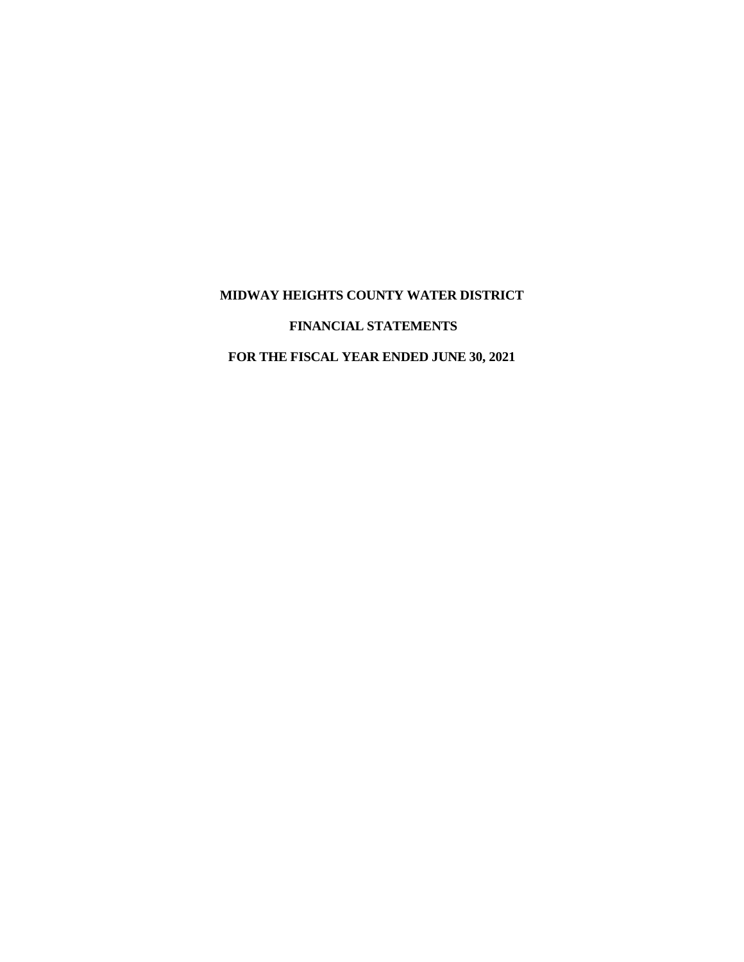# **FINANCIAL STATEMENTS**

# **FOR THE FISCAL YEAR ENDED JUNE 30, 2021**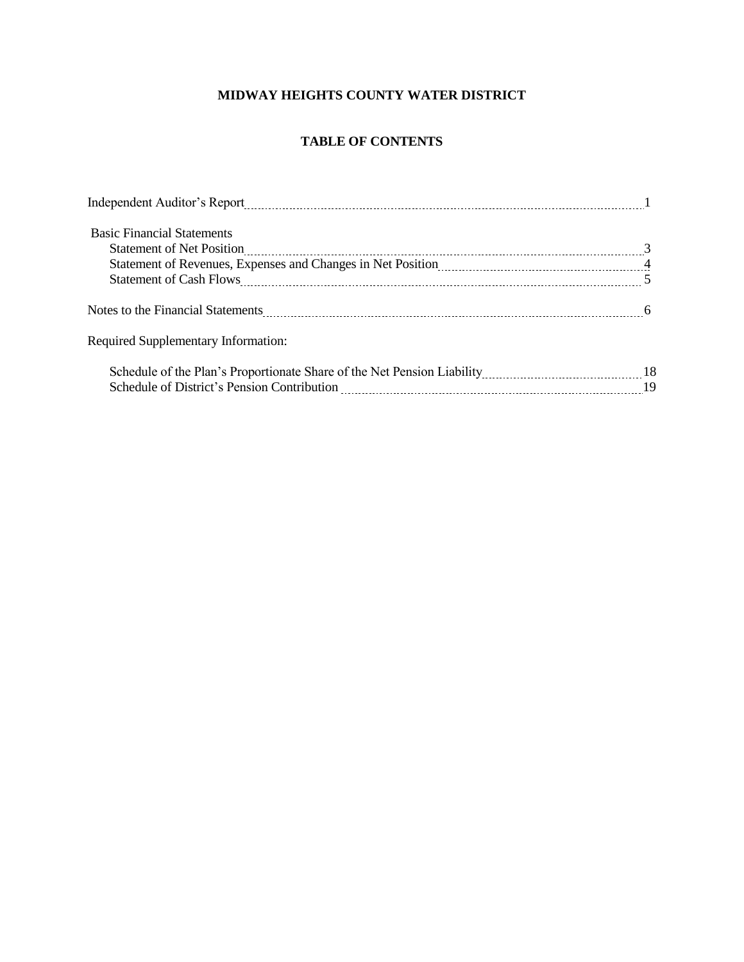# **TABLE OF CONTENTS**

| Independent Auditor's Report [11] and the Report [11] and the Report of Report [11] and the Manusch Manusch Manusch Manusch Manusch Manusch Manusch Manusch Manusch Manusch Manusch Manusch Manusch Manusch Manusch Manusch Ma |  |
|--------------------------------------------------------------------------------------------------------------------------------------------------------------------------------------------------------------------------------|--|
| <b>Basic Financial Statements</b>                                                                                                                                                                                              |  |
|                                                                                                                                                                                                                                |  |
|                                                                                                                                                                                                                                |  |
|                                                                                                                                                                                                                                |  |
|                                                                                                                                                                                                                                |  |
| Required Supplementary Information:                                                                                                                                                                                            |  |
|                                                                                                                                                                                                                                |  |
|                                                                                                                                                                                                                                |  |
|                                                                                                                                                                                                                                |  |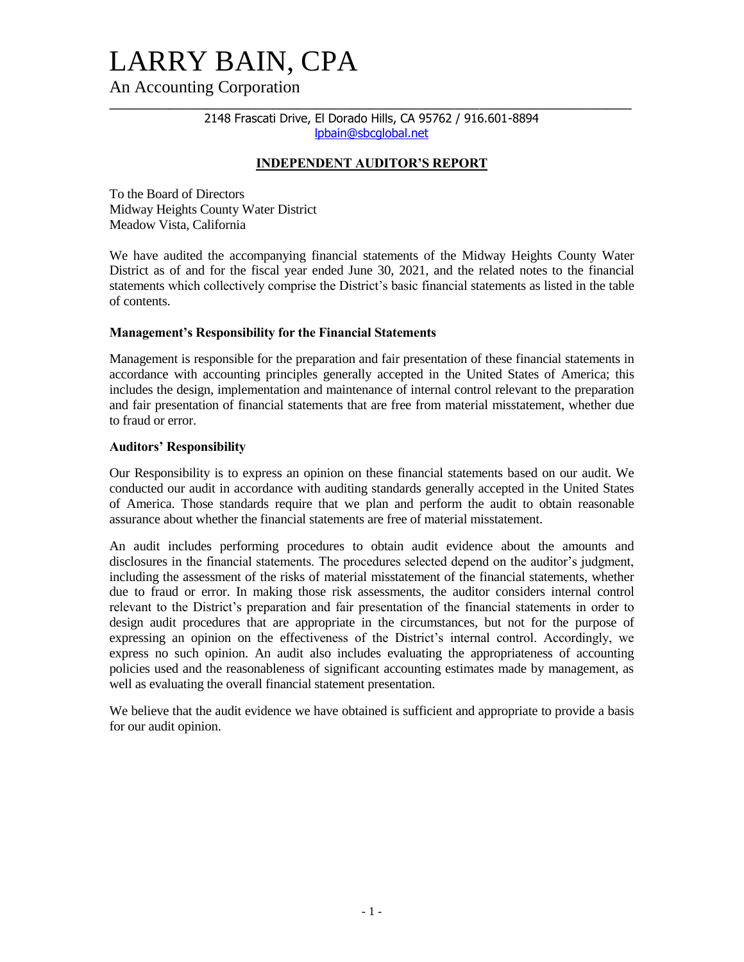# LARRY BAIN, CPA

An Accounting Corporation

**\_\_\_\_\_\_\_\_\_\_\_\_\_\_\_\_\_\_\_\_\_\_\_\_\_\_\_\_\_\_\_\_\_\_\_\_\_\_\_\_\_\_\_\_\_\_\_\_\_\_\_\_\_\_\_\_\_\_\_\_\_\_\_\_\_\_\_\_\_\_\_\_\_\_\_\_\_\_\_\_\_\_\_\_\_\_**  2148 Frascati Drive, El Dorado Hills, CA 95762 / 916.601-8894 [lpbain@sbcglobal.net](mailto:auditor@marcello-cpa.com)

# **INDEPENDENT AUDITOR'S REPORT**

To the Board of Directors Midway Heights County Water District Meadow Vista, California

We have audited the accompanying financial statements of the Midway Heights County Water District as of and for the fiscal year ended June 30, 2021, and the related notes to the financial statements which collectively comprise the District's basic financial statements as listed in the table of contents.

# **Management's Responsibility for the Financial Statements**

Management is responsible for the preparation and fair presentation of these financial statements in accordance with accounting principles generally accepted in the United States of America; this includes the design, implementation and maintenance of internal control relevant to the preparation and fair presentation of financial statements that are free from material misstatement, whether due to fraud or error.

# **Auditors' Responsibility**

Our Responsibility is to express an opinion on these financial statements based on our audit. We conducted our audit in accordance with auditing standards generally accepted in the United States of America. Those standards require that we plan and perform the audit to obtain reasonable assurance about whether the financial statements are free of material misstatement.

An audit includes performing procedures to obtain audit evidence about the amounts and disclosures in the financial statements. The procedures selected depend on the auditor's judgment, including the assessment of the risks of material misstatement of the financial statements, whether due to fraud or error. In making those risk assessments, the auditor considers internal control relevant to the District's preparation and fair presentation of the financial statements in order to design audit procedures that are appropriate in the circumstances, but not for the purpose of expressing an opinion on the effectiveness of the District's internal control. Accordingly, we express no such opinion. An audit also includes evaluating the appropriateness of accounting policies used and the reasonableness of significant accounting estimates made by management, as well as evaluating the overall financial statement presentation.

We believe that the audit evidence we have obtained is sufficient and appropriate to provide a basis for our audit opinion.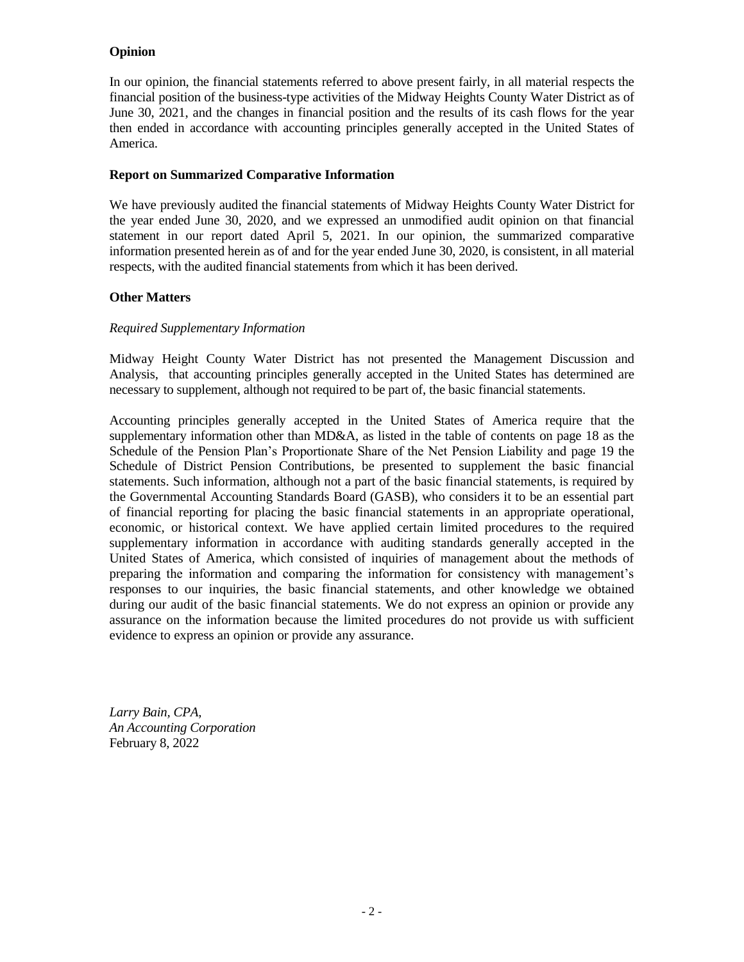# **Opinion**

In our opinion, the financial statements referred to above present fairly, in all material respects the financial position of the business-type activities of the Midway Heights County Water District as of June 30, 2021, and the changes in financial position and the results of its cash flows for the year then ended in accordance with accounting principles generally accepted in the United States of America.

# **Report on Summarized Comparative Information**

We have previously audited the financial statements of Midway Heights County Water District for the year ended June 30, 2020, and we expressed an unmodified audit opinion on that financial statement in our report dated April 5, 2021. In our opinion, the summarized comparative information presented herein as of and for the year ended June 30, 2020, is consistent, in all material respects, with the audited financial statements from which it has been derived.

# **Other Matters**

# *Required Supplementary Information*

Midway Height County Water District has not presented the Management Discussion and Analysis, that accounting principles generally accepted in the United States has determined are necessary to supplement, although not required to be part of, the basic financial statements.

Accounting principles generally accepted in the United States of America require that the supplementary information other than MD&A, as listed in the table of contents on page 18 as the Schedule of the Pension Plan's Proportionate Share of the Net Pension Liability and page 19 the Schedule of District Pension Contributions, be presented to supplement the basic financial statements. Such information, although not a part of the basic financial statements, is required by the Governmental Accounting Standards Board (GASB), who considers it to be an essential part of financial reporting for placing the basic financial statements in an appropriate operational, economic, or historical context. We have applied certain limited procedures to the required supplementary information in accordance with auditing standards generally accepted in the United States of America, which consisted of inquiries of management about the methods of preparing the information and comparing the information for consistency with management's responses to our inquiries, the basic financial statements, and other knowledge we obtained during our audit of the basic financial statements. We do not express an opinion or provide any assurance on the information because the limited procedures do not provide us with sufficient evidence to express an opinion or provide any assurance.

*Larry Bain, CPA, An Accounting Corporation* February 8, 2022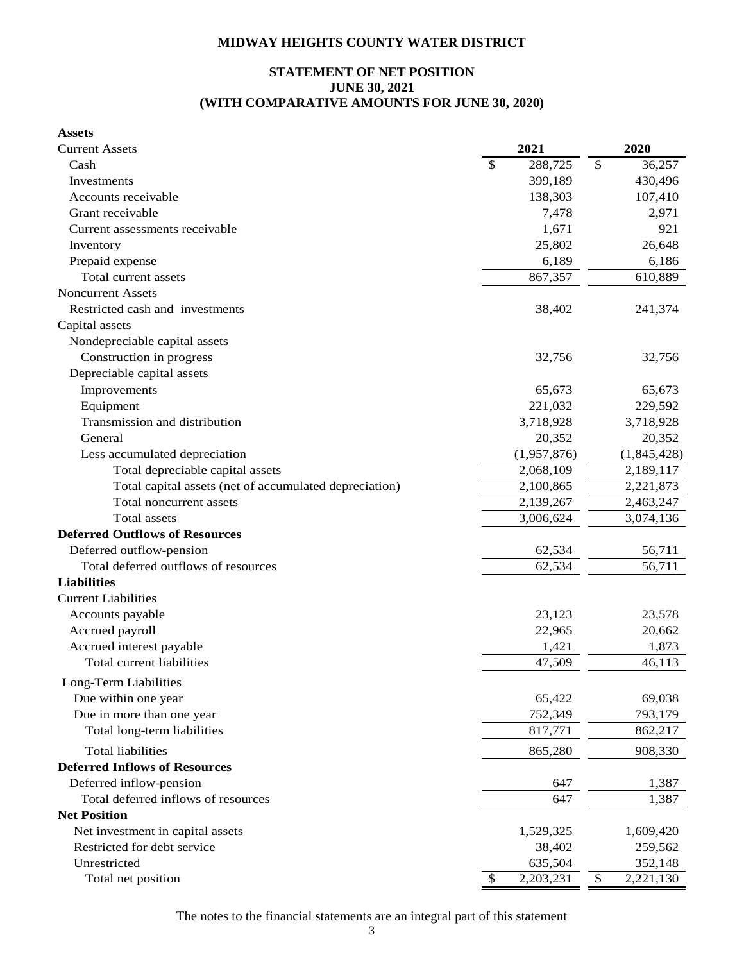# **STATEMENT OF NET POSITION JUNE 30, 2021 (WITH COMPARATIVE AMOUNTS FOR JUNE 30, 2020)**

| <b>Assets</b>                                          |                 |                 |
|--------------------------------------------------------|-----------------|-----------------|
| <b>Current Assets</b>                                  | 2021            | 2020            |
| Cash                                                   | \$<br>288,725   | \$<br>36,257    |
| Investments                                            | 399,189         | 430,496         |
| Accounts receivable                                    | 138,303         | 107,410         |
| Grant receivable                                       | 7,478           | 2,971           |
| Current assessments receivable                         | 1,671           | 921             |
| Inventory                                              | 25,802          | 26,648          |
| Prepaid expense                                        | 6,189           | 6,186           |
| Total current assets                                   | 867,357         | 610,889         |
| <b>Noncurrent Assets</b>                               |                 |                 |
| Restricted cash and investments                        | 38,402          | 241,374         |
| Capital assets                                         |                 |                 |
| Nondepreciable capital assets                          |                 |                 |
| Construction in progress                               | 32,756          | 32,756          |
| Depreciable capital assets                             |                 |                 |
| Improvements                                           | 65,673          | 65,673          |
| Equipment                                              | 221,032         | 229,592         |
| Transmission and distribution                          | 3,718,928       | 3,718,928       |
| General                                                | 20,352          | 20,352          |
| Less accumulated depreciation                          | (1,957,876)     | (1,845,428)     |
| Total depreciable capital assets                       | 2,068,109       | 2,189,117       |
| Total capital assets (net of accumulated depreciation) | 2,100,865       | 2,221,873       |
| Total noncurrent assets                                | 2,139,267       | 2,463,247       |
| Total assets                                           | 3,006,624       | 3,074,136       |
| <b>Deferred Outflows of Resources</b>                  |                 |                 |
| Deferred outflow-pension                               | 62,534          | 56,711          |
| Total deferred outflows of resources                   | 62,534          | 56,711          |
| <b>Liabilities</b>                                     |                 |                 |
| <b>Current Liabilities</b>                             |                 |                 |
| Accounts payable                                       | 23,123          | 23,578          |
| Accrued payroll                                        | 22,965          | 20,662          |
| Accrued interest payable                               | 1,421           | 1,873           |
| Total current liabilities                              | 47,509          | 46,113          |
| Long-Term Liabilities                                  |                 |                 |
| Due within one year                                    | 65,422          | 69,038          |
| Due in more than one year                              | 752,349         | 793,179         |
| Total long-term liabilities                            | 817,771         | 862,217         |
|                                                        |                 |                 |
| <b>Total liabilities</b>                               | 865,280         | 908,330         |
| <b>Deferred Inflows of Resources</b>                   |                 |                 |
| Deferred inflow-pension                                | 647             | 1,387           |
| Total deferred inflows of resources                    | 647             | 1,387           |
| <b>Net Position</b>                                    |                 |                 |
| Net investment in capital assets                       | 1,529,325       | 1,609,420       |
| Restricted for debt service                            | 38,402          | 259,562         |
| Unrestricted                                           | 635,504         | 352,148         |
| Total net position                                     | \$<br>2,203,231 | \$<br>2,221,130 |

The notes to the financial statements are an integral part of this statement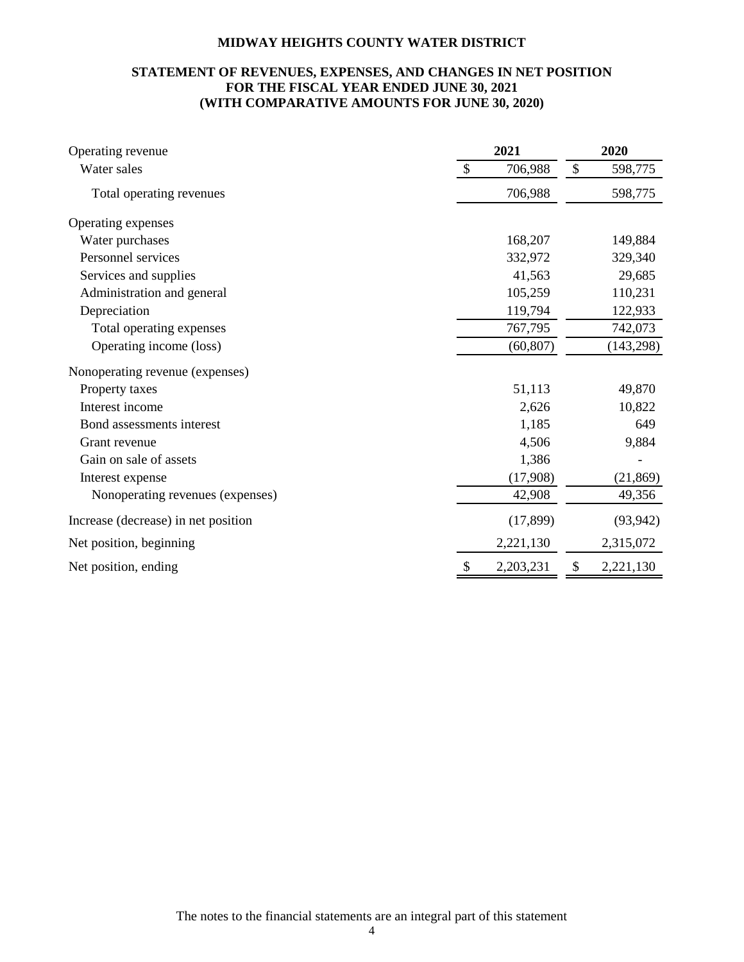# **STATEMENT OF REVENUES, EXPENSES, AND CHANGES IN NET POSITION FOR THE FISCAL YEAR ENDED JUNE 30, 2021 (WITH COMPARATIVE AMOUNTS FOR JUNE 30, 2020)**

| Operating revenue                   | 2021                     | 2020            |
|-------------------------------------|--------------------------|-----------------|
| Water sales                         | $\mathcal{S}$<br>706,988 | \$<br>598,775   |
| Total operating revenues            | 706,988                  | 598,775         |
| Operating expenses                  |                          |                 |
| Water purchases                     | 168,207                  | 149,884         |
| Personnel services                  | 332,972                  | 329,340         |
| Services and supplies               | 41,563                   | 29,685          |
| Administration and general          | 105,259                  | 110,231         |
| Depreciation                        | 119,794                  | 122,933         |
| Total operating expenses            | 767,795                  | 742,073         |
| Operating income (loss)             | (60, 807)                | (143, 298)      |
| Nonoperating revenue (expenses)     |                          |                 |
| Property taxes                      | 51,113                   | 49,870          |
| Interest income                     | 2,626                    | 10,822          |
| Bond assessments interest           | 1,185                    | 649             |
| Grant revenue                       | 4,506                    | 9,884           |
| Gain on sale of assets              | 1,386                    |                 |
| Interest expense                    | (17,908)                 | (21, 869)       |
| Nonoperating revenues (expenses)    | 42,908                   | 49,356          |
| Increase (decrease) in net position | (17, 899)                | (93, 942)       |
| Net position, beginning             | 2,221,130                | 2,315,072       |
| Net position, ending                | 2,203,231                | 2,221,130<br>\$ |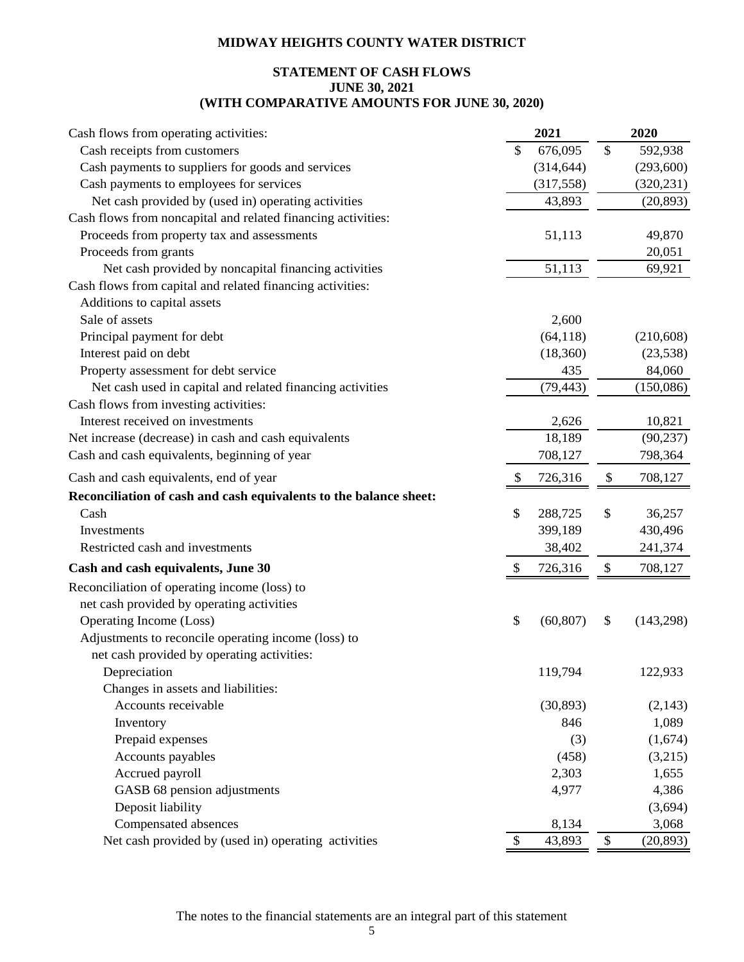# **STATEMENT OF CASH FLOWS JUNE 30, 2021 (WITH COMPARATIVE AMOUNTS FOR JUNE 30, 2020)**

| Cash flows from operating activities:                             |               | 2021       |               | 2020       |
|-------------------------------------------------------------------|---------------|------------|---------------|------------|
| Cash receipts from customers                                      | \$            | 676,095    | $\mathcal{S}$ | 592,938    |
| Cash payments to suppliers for goods and services                 |               | (314, 644) |               | (293, 600) |
| Cash payments to employees for services                           |               | (317, 558) |               | (320, 231) |
| Net cash provided by (used in) operating activities               |               | 43,893     |               | (20, 893)  |
| Cash flows from noncapital and related financing activities:      |               |            |               |            |
| Proceeds from property tax and assessments                        |               | 51,113     |               | 49,870     |
| Proceeds from grants                                              |               |            |               | 20,051     |
| Net cash provided by noncapital financing activities              |               | 51,113     |               | 69,921     |
| Cash flows from capital and related financing activities:         |               |            |               |            |
| Additions to capital assets                                       |               |            |               |            |
| Sale of assets                                                    |               | 2,600      |               |            |
| Principal payment for debt                                        |               | (64, 118)  |               | (210, 608) |
| Interest paid on debt                                             |               | (18, 360)  |               | (23, 538)  |
| Property assessment for debt service                              |               | 435        |               | 84,060     |
| Net cash used in capital and related financing activities         |               | (79, 443)  |               | (150,086)  |
| Cash flows from investing activities:                             |               |            |               |            |
| Interest received on investments                                  |               | 2,626      |               | 10,821     |
| Net increase (decrease) in cash and cash equivalents              |               | 18,189     |               | (90, 237)  |
| Cash and cash equivalents, beginning of year                      |               | 708,127    |               | 798,364    |
| Cash and cash equivalents, end of year                            | \$            | 726,316    | \$            | 708,127    |
| Reconciliation of cash and cash equivalents to the balance sheet: |               |            |               |            |
| Cash                                                              | \$            | 288,725    | \$            | 36,257     |
| Investments                                                       |               | 399,189    |               | 430,496    |
| Restricted cash and investments                                   |               | 38,402     |               | 241,374    |
| Cash and cash equivalents, June 30                                | S.            | 726,316    | \$            | 708,127    |
| Reconciliation of operating income (loss) to                      |               |            |               |            |
| net cash provided by operating activities                         |               |            |               |            |
| Operating Income (Loss)                                           | \$            | (60, 807)  | \$            | (143,298)  |
| Adjustments to reconcile operating income (loss) to               |               |            |               |            |
| net cash provided by operating activities:                        |               |            |               |            |
| Depreciation                                                      |               | 119,794    |               | 122,933    |
| Changes in assets and liabilities:                                |               |            |               |            |
| Accounts receivable                                               |               | (30, 893)  |               | (2, 143)   |
| Inventory                                                         |               | 846        |               | 1,089      |
| Prepaid expenses                                                  |               | (3)        |               | (1,674)    |
| Accounts payables                                                 |               | (458)      |               | (3,215)    |
| Accrued payroll                                                   |               | 2,303      |               | 1,655      |
| GASB 68 pension adjustments                                       |               | 4,977      |               | 4,386      |
| Deposit liability                                                 |               |            |               | (3,694)    |
| Compensated absences                                              |               | 8,134      |               | 3,068      |
| Net cash provided by (used in) operating activities               | $\mathcal{S}$ | 43,893     | $\$$          | (20, 893)  |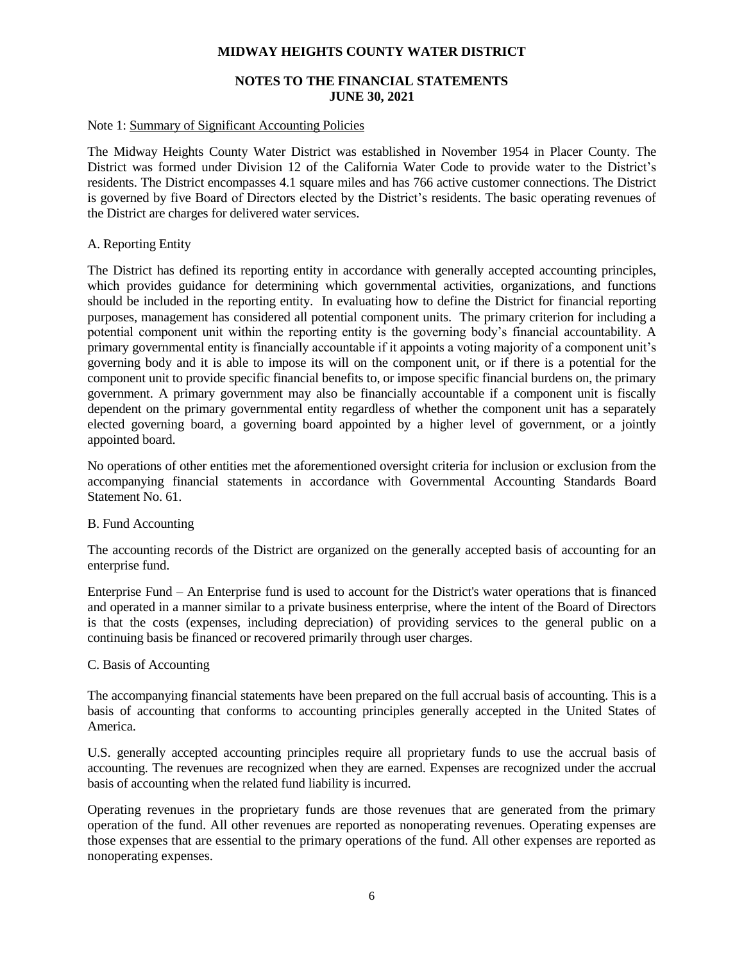# **NOTES TO THE FINANCIAL STATEMENTS JUNE 30, 2021**

#### Note 1: Summary of Significant Accounting Policies

The Midway Heights County Water District was established in November 1954 in Placer County. The District was formed under Division 12 of the California Water Code to provide water to the District's residents. The District encompasses 4.1 square miles and has 766 active customer connections. The District is governed by five Board of Directors elected by the District's residents. The basic operating revenues of the District are charges for delivered water services.

# A. Reporting Entity

The District has defined its reporting entity in accordance with generally accepted accounting principles, which provides guidance for determining which governmental activities, organizations, and functions should be included in the reporting entity. In evaluating how to define the District for financial reporting purposes, management has considered all potential component units. The primary criterion for including a potential component unit within the reporting entity is the governing body's financial accountability. A primary governmental entity is financially accountable if it appoints a voting majority of a component unit's governing body and it is able to impose its will on the component unit, or if there is a potential for the component unit to provide specific financial benefits to, or impose specific financial burdens on, the primary government. A primary government may also be financially accountable if a component unit is fiscally dependent on the primary governmental entity regardless of whether the component unit has a separately elected governing board, a governing board appointed by a higher level of government, or a jointly appointed board.

No operations of other entities met the aforementioned oversight criteria for inclusion or exclusion from the accompanying financial statements in accordance with Governmental Accounting Standards Board Statement No. 61.

#### B. Fund Accounting

The accounting records of the District are organized on the generally accepted basis of accounting for an enterprise fund.

Enterprise Fund – An Enterprise fund is used to account for the District's water operations that is financed and operated in a manner similar to a private business enterprise, where the intent of the Board of Directors is that the costs (expenses, including depreciation) of providing services to the general public on a continuing basis be financed or recovered primarily through user charges.

#### C. Basis of Accounting

The accompanying financial statements have been prepared on the full accrual basis of accounting. This is a basis of accounting that conforms to accounting principles generally accepted in the United States of America.

U.S. generally accepted accounting principles require all proprietary funds to use the accrual basis of accounting. The revenues are recognized when they are earned. Expenses are recognized under the accrual basis of accounting when the related fund liability is incurred.

Operating revenues in the proprietary funds are those revenues that are generated from the primary operation of the fund. All other revenues are reported as nonoperating revenues. Operating expenses are those expenses that are essential to the primary operations of the fund. All other expenses are reported as nonoperating expenses.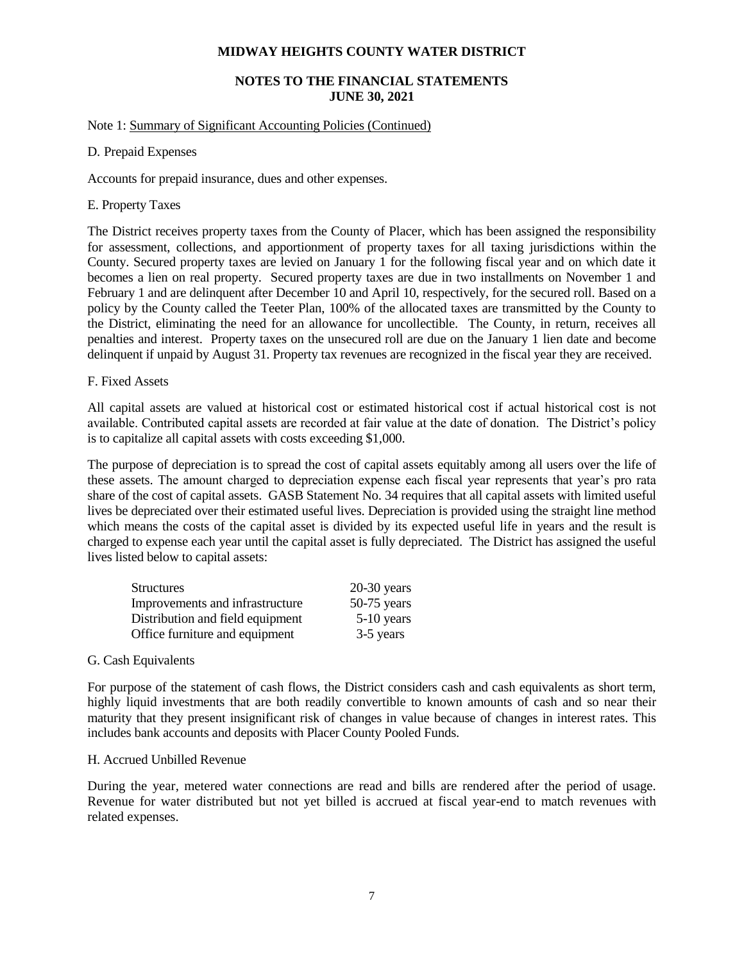# **NOTES TO THE FINANCIAL STATEMENTS JUNE 30, 2021**

#### Note 1: Summary of Significant Accounting Policies (Continued)

# D. Prepaid Expenses

Accounts for prepaid insurance, dues and other expenses.

# E. Property Taxes

The District receives property taxes from the County of Placer, which has been assigned the responsibility for assessment, collections, and apportionment of property taxes for all taxing jurisdictions within the County. Secured property taxes are levied on January 1 for the following fiscal year and on which date it becomes a lien on real property. Secured property taxes are due in two installments on November 1 and February 1 and are delinquent after December 10 and April 10, respectively, for the secured roll. Based on a policy by the County called the Teeter Plan, 100% of the allocated taxes are transmitted by the County to the District, eliminating the need for an allowance for uncollectible. The County, in return, receives all penalties and interest. Property taxes on the unsecured roll are due on the January 1 lien date and become delinquent if unpaid by August 31. Property tax revenues are recognized in the fiscal year they are received.

# F. Fixed Assets

All capital assets are valued at historical cost or estimated historical cost if actual historical cost is not available. Contributed capital assets are recorded at fair value at the date of donation. The District's policy is to capitalize all capital assets with costs exceeding \$1,000.

The purpose of depreciation is to spread the cost of capital assets equitably among all users over the life of these assets. The amount charged to depreciation expense each fiscal year represents that year's pro rata share of the cost of capital assets. GASB Statement No. 34 requires that all capital assets with limited useful lives be depreciated over their estimated useful lives. Depreciation is provided using the straight line method which means the costs of the capital asset is divided by its expected useful life in years and the result is charged to expense each year until the capital asset is fully depreciated. The District has assigned the useful lives listed below to capital assets:

| <b>Structures</b>                | $20-30$ years |
|----------------------------------|---------------|
| Improvements and infrastructure  | $50-75$ years |
| Distribution and field equipment | $5-10$ years  |
| Office furniture and equipment   | 3-5 years     |

#### G. Cash Equivalents

For purpose of the statement of cash flows, the District considers cash and cash equivalents as short term, highly liquid investments that are both readily convertible to known amounts of cash and so near their maturity that they present insignificant risk of changes in value because of changes in interest rates. This includes bank accounts and deposits with Placer County Pooled Funds.

#### H. Accrued Unbilled Revenue

During the year, metered water connections are read and bills are rendered after the period of usage. Revenue for water distributed but not yet billed is accrued at fiscal year-end to match revenues with related expenses.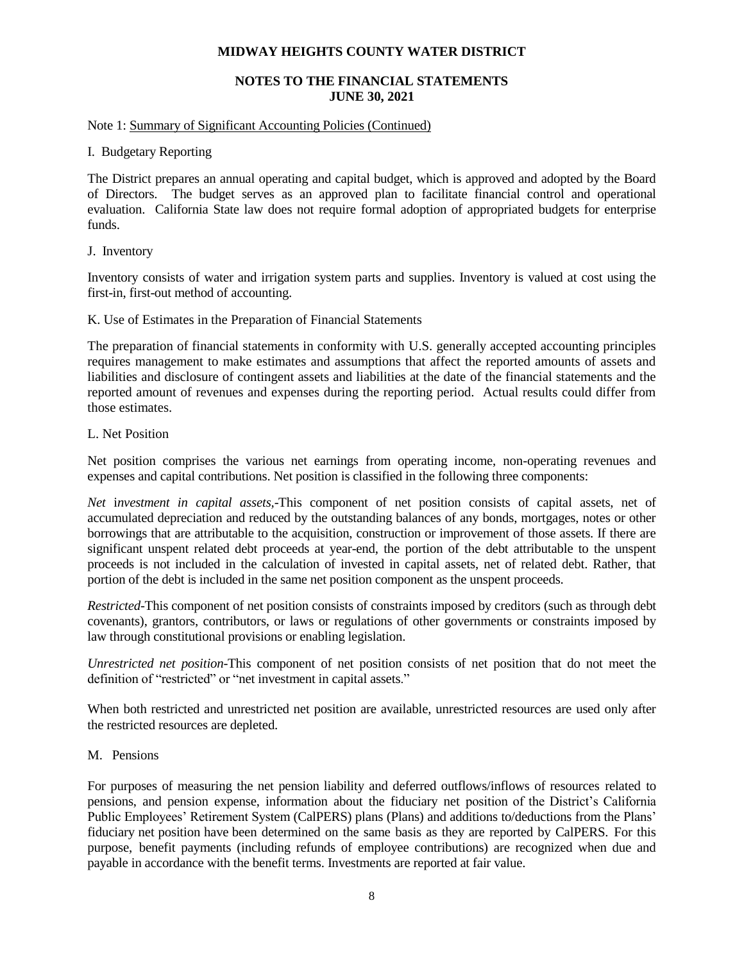# **NOTES TO THE FINANCIAL STATEMENTS JUNE 30, 2021**

#### Note 1: Summary of Significant Accounting Policies (Continued)

# I. Budgetary Reporting

The District prepares an annual operating and capital budget, which is approved and adopted by the Board of Directors. The budget serves as an approved plan to facilitate financial control and operational evaluation. California State law does not require formal adoption of appropriated budgets for enterprise funds.

# J. Inventory

Inventory consists of water and irrigation system parts and supplies. Inventory is valued at cost using the first-in, first-out method of accounting.

# K. Use of Estimates in the Preparation of Financial Statements

The preparation of financial statements in conformity with U.S. generally accepted accounting principles requires management to make estimates and assumptions that affect the reported amounts of assets and liabilities and disclosure of contingent assets and liabilities at the date of the financial statements and the reported amount of revenues and expenses during the reporting period. Actual results could differ from those estimates.

# L. Net Position

Net position comprises the various net earnings from operating income, non-operating revenues and expenses and capital contributions. Net position is classified in the following three components:

*Net* i*nvestment in capital assets,*-This component of net position consists of capital assets, net of accumulated depreciation and reduced by the outstanding balances of any bonds, mortgages, notes or other borrowings that are attributable to the acquisition, construction or improvement of those assets. If there are significant unspent related debt proceeds at year-end, the portion of the debt attributable to the unspent proceeds is not included in the calculation of invested in capital assets, net of related debt. Rather, that portion of the debt is included in the same net position component as the unspent proceeds.

*Restricted-*This component of net position consists of constraints imposed by creditors (such as through debt covenants), grantors, contributors, or laws or regulations of other governments or constraints imposed by law through constitutional provisions or enabling legislation.

*Unrestricted net position-*This component of net position consists of net position that do not meet the definition of "restricted" or "net investment in capital assets."

When both restricted and unrestricted net position are available, unrestricted resources are used only after the restricted resources are depleted.

# M. Pensions

For purposes of measuring the net pension liability and deferred outflows/inflows of resources related to pensions, and pension expense, information about the fiduciary net position of the District's California Public Employees' Retirement System (CalPERS) plans (Plans) and additions to/deductions from the Plans' fiduciary net position have been determined on the same basis as they are reported by CalPERS. For this purpose, benefit payments (including refunds of employee contributions) are recognized when due and payable in accordance with the benefit terms. Investments are reported at fair value.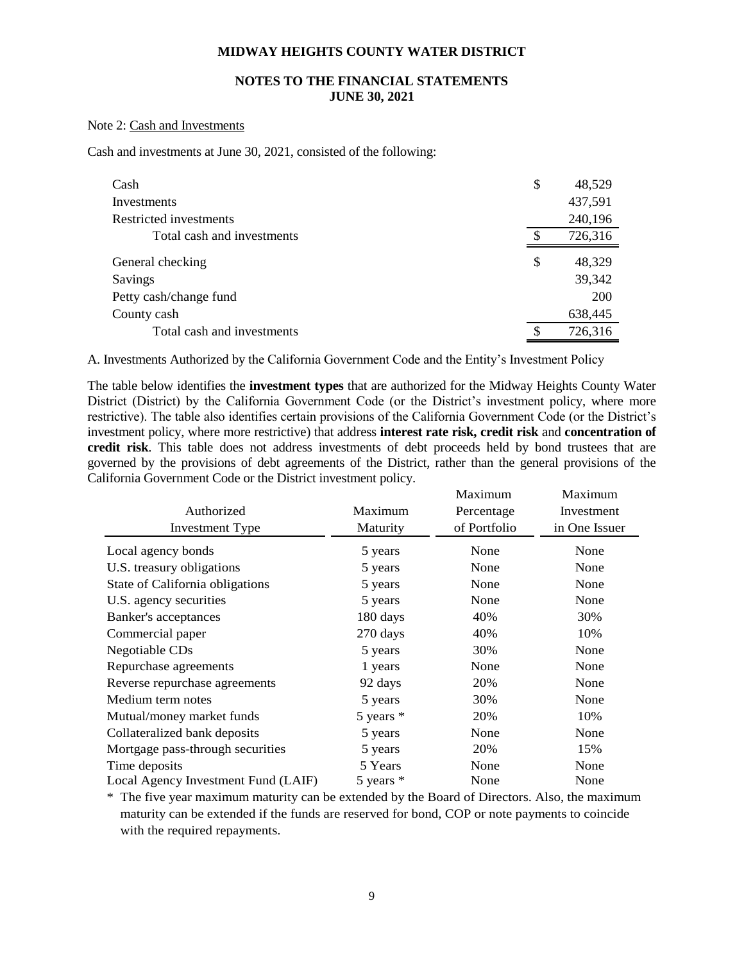# **NOTES TO THE FINANCIAL STATEMENTS JUNE 30, 2021**

#### Note 2: Cash and Investments

Cash and investments at June 30, 2021, consisted of the following:

| Cash                       | \$ | 48,529     |
|----------------------------|----|------------|
| Investments                |    | 437,591    |
| Restricted investments     |    | 240,196    |
| Total cash and investments | æ. | 726,316    |
| General checking           | \$ | 48,329     |
| Savings                    |    | 39,342     |
| Petty cash/change fund     |    | <b>200</b> |
| County cash                |    | 638,445    |
| Total cash and investments | £. | 726,316    |

A. Investments Authorized by the California Government Code and the Entity's Investment Policy

The table below identifies the **investment types** that are authorized for the Midway Heights County Water District (District) by the California Government Code (or the District's investment policy, where more restrictive). The table also identifies certain provisions of the California Government Code (or the District's investment policy, where more restrictive) that address **interest rate risk, credit risk** and **concentration of credit risk**. This table does not address investments of debt proceeds held by bond trustees that are governed by the provisions of debt agreements of the District, rather than the general provisions of the California Government Code or the District investment policy.

|                                     |               | Maximum      | Maximum       |
|-------------------------------------|---------------|--------------|---------------|
| Authorized                          | Maximum       | Percentage   | Investment    |
| <b>Investment Type</b>              | Maturity      | of Portfolio | in One Issuer |
| Local agency bonds                  | 5 years       | None         | None          |
| U.S. treasury obligations           | 5 years       | None         | None          |
| State of California obligations     | 5 years       | None         | None          |
| U.S. agency securities              | 5 years       | None         | None          |
| Banker's acceptances                | 180 days      | 40%          | 30%           |
| Commercial paper                    | 270 days      | 40%          | 10%           |
| Negotiable CDs                      | 5 years       | 30%          | None          |
| Repurchase agreements               | 1 years       | None         | None          |
| Reverse repurchase agreements       | 92 days       | 20%          | None          |
| Medium term notes                   | 5 years       | 30%          | None          |
| Mutual/money market funds           | $5$ years $*$ | 20%          | 10%           |
| Collateralized bank deposits        | 5 years       | None         | None          |
| Mortgage pass-through securities    | 5 years       | 20%          | 15%           |
| Time deposits                       | 5 Years       | None         | None          |
| Local Agency Investment Fund (LAIF) | 5 years $*$   | None         | None          |

\* The five year maximum maturity can be extended by the Board of Directors. Also, the maximum maturity can be extended if the funds are reserved for bond, COP or note payments to coincide with the required repayments.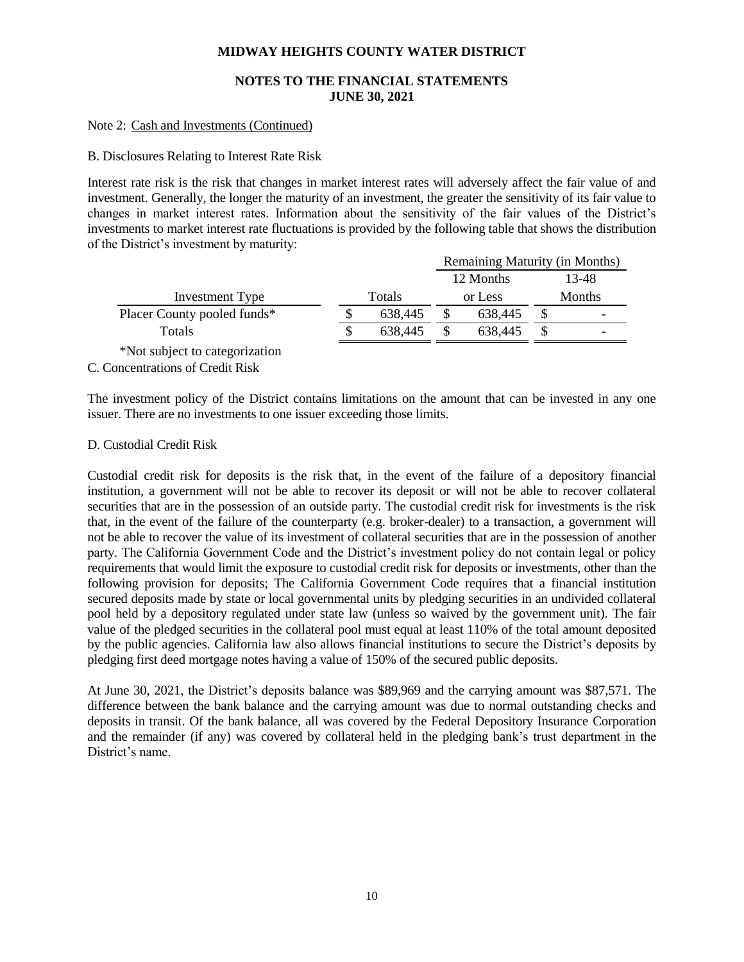# **NOTES TO THE FINANCIAL STATEMENTS JUNE 30, 2021**

#### Note 2: Cash and Investments (Continued)

#### B. Disclosures Relating to Interest Rate Risk

Interest rate risk is the risk that changes in market interest rates will adversely affect the fair value of and investment. Generally, the longer the maturity of an investment, the greater the sensitivity of its fair value to changes in market interest rates. Information about the sensitivity of the fair values of the District's investments to market interest rate fluctuations is provided by the following table that shows the distribution of the District's investment by maturity:

|                                | Remaining Maturity (in Months) |  |           |        |       |  |  |  |
|--------------------------------|--------------------------------|--|-----------|--------|-------|--|--|--|
|                                |                                |  | 12 Months |        | 13-48 |  |  |  |
| Investment Type                | Totals                         |  | or Less   | Months |       |  |  |  |
| Placer County pooled funds*    | 638,445                        |  | 638,445   |        |       |  |  |  |
| Totals                         | \$<br>638,445                  |  | 638,445   |        |       |  |  |  |
| *Not subject to categorization |                                |  |           |        |       |  |  |  |

C. Concentrations of Credit Risk

The investment policy of the District contains limitations on the amount that can be invested in any one issuer. There are no investments to one issuer exceeding those limits.

#### D. Custodial Credit Risk

Custodial credit risk for deposits is the risk that, in the event of the failure of a depository financial institution, a government will not be able to recover its deposit or will not be able to recover collateral securities that are in the possession of an outside party. The custodial credit risk for investments is the risk that, in the event of the failure of the counterparty (e.g. broker-dealer) to a transaction, a government will not be able to recover the value of its investment of collateral securities that are in the possession of another party. The California Government Code and the District's investment policy do not contain legal or policy requirements that would limit the exposure to custodial credit risk for deposits or investments, other than the following provision for deposits; The California Government Code requires that a financial institution secured deposits made by state or local governmental units by pledging securities in an undivided collateral pool held by a depository regulated under state law (unless so waived by the government unit). The fair value of the pledged securities in the collateral pool must equal at least 110% of the total amount deposited by the public agencies. California law also allows financial institutions to secure the District's deposits by pledging first deed mortgage notes having a value of 150% of the secured public deposits.

At June 30, 2021, the District's deposits balance was \$89,969 and the carrying amount was \$87,571. The difference between the bank balance and the carrying amount was due to normal outstanding checks and deposits in transit. Of the bank balance, all was covered by the Federal Depository Insurance Corporation and the remainder (if any) was covered by collateral held in the pledging bank's trust department in the District's name.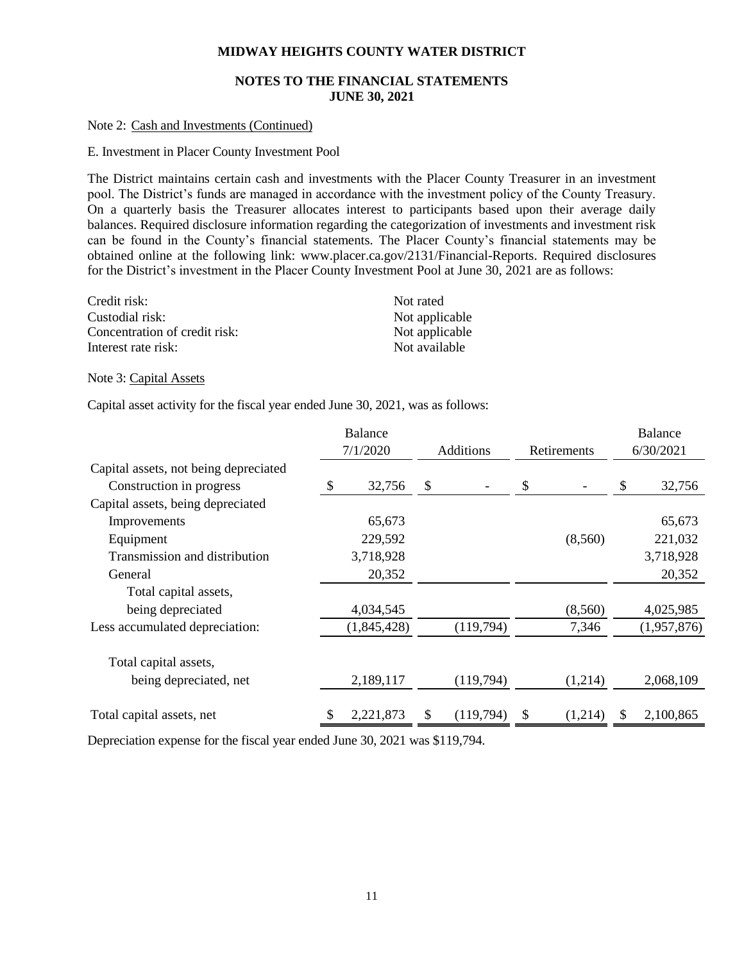# **NOTES TO THE FINANCIAL STATEMENTS JUNE 30, 2021**

#### Note 2: Cash and Investments (Continued)

#### E. Investment in Placer County Investment Pool

The District maintains certain cash and investments with the Placer County Treasurer in an investment pool. The District's funds are managed in accordance with the investment policy of the County Treasury. On a quarterly basis the Treasurer allocates interest to participants based upon their average daily balances. Required disclosure information regarding the categorization of investments and investment risk can be found in the County's financial statements. The Placer County's financial statements may be obtained online at the following link: www.placer.ca.gov/2131/Financial-Reports. Required disclosures for the District's investment in the Placer County Investment Pool at June 30, 2021 are as follows:

| Credit risk:                  | Not rated      |
|-------------------------------|----------------|
| Custodial risk:               | Not applicable |
| Concentration of credit risk: | Not applicable |
| Interest rate risk:           | Not available  |

Note 3: Capital Assets

Capital asset activity for the fiscal year ended June 30, 2021, was as follows:

|                                       |  | <b>Balance</b> |                  |           |             |         |   | <b>Balance</b> |
|---------------------------------------|--|----------------|------------------|-----------|-------------|---------|---|----------------|
|                                       |  | 7/1/2020       | <b>Additions</b> |           | Retirements |         |   | 6/30/2021      |
| Capital assets, not being depreciated |  |                |                  |           |             |         |   |                |
| Construction in progress              |  | 32,756         | \$               |           | \$          |         | S | 32,756         |
| Capital assets, being depreciated     |  |                |                  |           |             |         |   |                |
| Improvements                          |  | 65,673         |                  |           |             |         |   | 65,673         |
| Equipment                             |  | 229,592        |                  |           |             | (8,560) |   | 221,032        |
| Transmission and distribution         |  | 3,718,928      |                  |           |             |         |   | 3,718,928      |
| General                               |  | 20,352         |                  |           |             |         |   | 20,352         |
| Total capital assets,                 |  |                |                  |           |             |         |   |                |
| being depreciated                     |  | 4,034,545      |                  |           |             | (8,560) |   | 4,025,985      |
| Less accumulated depreciation:        |  | (1,845,428)    |                  | (119,794) |             | 7,346   |   | (1,957,876)    |
| Total capital assets,                 |  |                |                  |           |             |         |   |                |
| being depreciated, net                |  | 2,189,117      |                  | (119,794) |             | (1,214) |   | 2,068,109      |
| Total capital assets, net             |  | 2,221,873      |                  | (119,794) |             | (1,214) |   | 2,100,865      |

Depreciation expense for the fiscal year ended June 30, 2021 was \$119,794.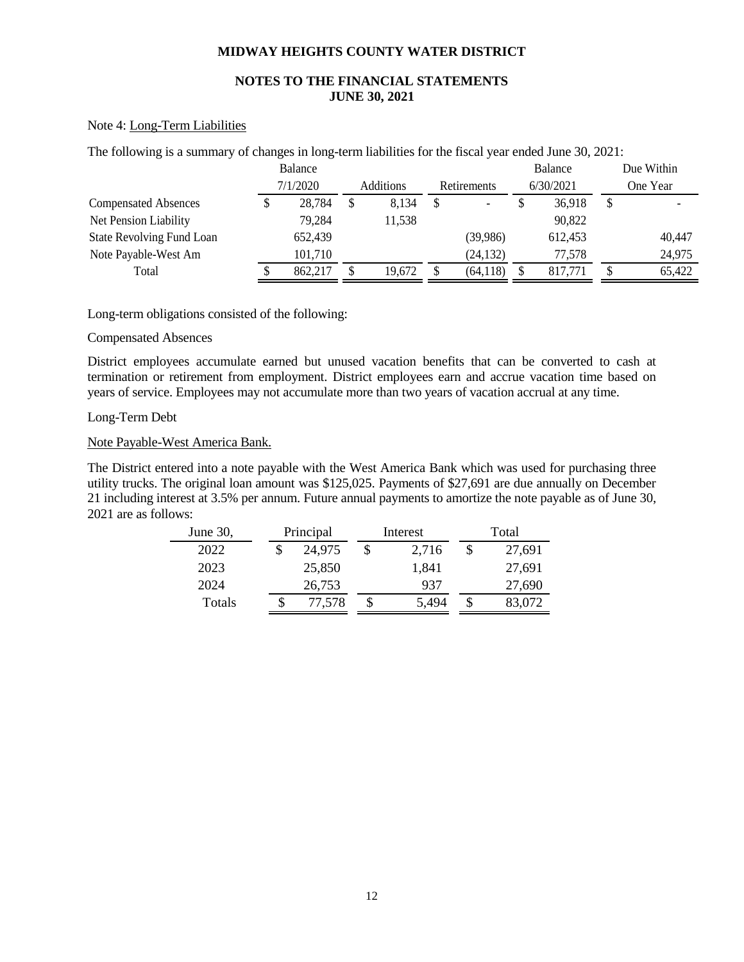# **NOTES TO THE FINANCIAL STATEMENTS JUNE 30, 2021**

#### Note 4: Long-Term Liabilities

|  |  | The following is a summary of changes in long-term liabilities for the fiscal year ended June 30, 2021: |  |
|--|--|---------------------------------------------------------------------------------------------------------|--|
|--|--|---------------------------------------------------------------------------------------------------------|--|

|                                  | Balance  |                  |                          | Balance   | Due Within |
|----------------------------------|----------|------------------|--------------------------|-----------|------------|
|                                  | 7/1/2020 | <b>Additions</b> | <b>Retirements</b>       | 6/30/2021 | One Year   |
| <b>Compensated Absences</b>      | 28,784   | \$<br>8.134      | $\overline{\phantom{a}}$ | 36,918    | \$         |
| Net Pension Liability            | 79,284   | 11,538           |                          | 90,822    |            |
| <b>State Revolving Fund Loan</b> | 652,439  |                  | (39,986)                 | 612,453   | 40,447     |
| Note Payable-West Am             | 101,710  |                  | (24, 132)                | 77.578    | 24,975     |
| Total                            | 862,217  | 19.672           | (64, 118)                | 817.771   | 65,422     |

Long-term obligations consisted of the following:

# Compensated Absences

District employees accumulate earned but unused vacation benefits that can be converted to cash at termination or retirement from employment. District employees earn and accrue vacation time based on years of service. Employees may not accumulate more than two years of vacation accrual at any time.

# Long-Term Debt

# Note Payable-West America Bank.

The District entered into a note payable with the West America Bank which was used for purchasing three utility trucks. The original loan amount was \$125,025. Payments of \$27,691 are due annually on December 21 including interest at 3.5% per annum. Future annual payments to amortize the note payable as of June 30, 2021 are as follows:

| June $30$ ,   |   | Principal | Interest |       | Total |        |
|---------------|---|-----------|----------|-------|-------|--------|
| 2022          |   | 24,975    | \$       | 2,716 |       | 27,691 |
| 2023          |   | 25,850    |          | 1.841 |       | 27,691 |
| 2024          |   | 26,753    |          | 937   |       | 27,690 |
| <b>Totals</b> | S | 77,578    | \$       | 5.494 | S     | 83,072 |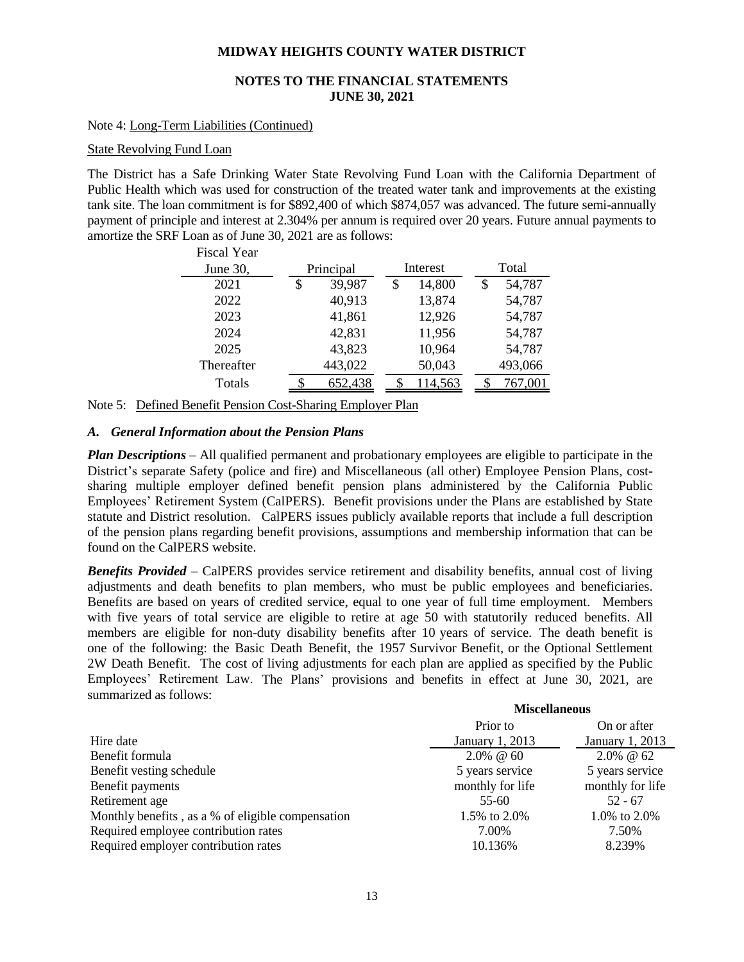# **NOTES TO THE FINANCIAL STATEMENTS JUNE 30, 2021**

#### Note 4: Long-Term Liabilities (Continued)

#### State Revolving Fund Loan

The District has a Safe Drinking Water State Revolving Fund Loan with the California Department of Public Health which was used for construction of the treated water tank and improvements at the existing tank site. The loan commitment is for \$892,400 of which \$874,057 was advanced. The future semi-annually payment of principle and interest at 2.304% per annum is required over 20 years. Future annual payments to amortize the SRF Loan as of June 30, 2021 are as follows:  $E_{222}$  V<sub>22</sub>

| riscal tear |              |          |         |       |         |
|-------------|--------------|----------|---------|-------|---------|
| June 30,    | Principal    | Interest |         | Total |         |
| 2021        | \$<br>39,987 | \$       | 14,800  |       | 54,787  |
| 2022        | 40,913       |          | 13,874  |       | 54,787  |
| 2023        | 41,861       |          | 12,926  |       | 54,787  |
| 2024        | 42,831       |          | 11,956  |       | 54,787  |
| 2025        | 43,823       |          | 10,964  |       | 54,787  |
| Thereafter  | 443,022      |          | 50,043  |       | 493,066 |
| Totals      | 652,438      |          | 114,563 |       | 767,001 |
|             |              |          |         |       |         |

Note 5: Defined Benefit Pension Cost-Sharing Employer Plan

# *A. General Information about the Pension Plans*

*Plan Descriptions* – All qualified permanent and probationary employees are eligible to participate in the District's separate Safety (police and fire) and Miscellaneous (all other) Employee Pension Plans, costsharing multiple employer defined benefit pension plans administered by the California Public Employees' Retirement System (CalPERS). Benefit provisions under the Plans are established by State statute and District resolution. CalPERS issues publicly available reports that include a full description of the pension plans regarding benefit provisions, assumptions and membership information that can be found on the CalPERS website.

*Benefits Provided* – CalPERS provides service retirement and disability benefits, annual cost of living adjustments and death benefits to plan members, who must be public employees and beneficiaries. Benefits are based on years of credited service, equal to one year of full time employment. Members with five years of total service are eligible to retire at age 50 with statutorily reduced benefits. All members are eligible for non-duty disability benefits after 10 years of service. The death benefit is one of the following: the Basic Death Benefit, the 1957 Survivor Benefit, or the Optional Settlement 2W Death Benefit. The cost of living adjustments for each plan are applied as specified by the Public Employees' Retirement Law. The Plans' provisions and benefits in effect at June 30, 2021, are summarized as follows:

|                                                   | Prior to         | On or after      |  |
|---------------------------------------------------|------------------|------------------|--|
| Hire date                                         | January 1, 2013  | January 1, 2013  |  |
| Benefit formula                                   | $2.0\% \ @ \ 60$ | $2.0\% \ @ 62$   |  |
| Benefit vesting schedule                          | 5 years service  | 5 years service  |  |
| Benefit payments                                  | monthly for life | monthly for life |  |
| Retirement age                                    | $55 - 60$        | $52 - 67$        |  |
| Monthly benefits, as a % of eligible compensation | 1.5% to 2.0%     | 1.0% to 2.0%     |  |
| Required employee contribution rates              | 7.00%            | 7.50%            |  |
| Required employer contribution rates              | 10.136%          | 8.239%           |  |

**Miscellaneous**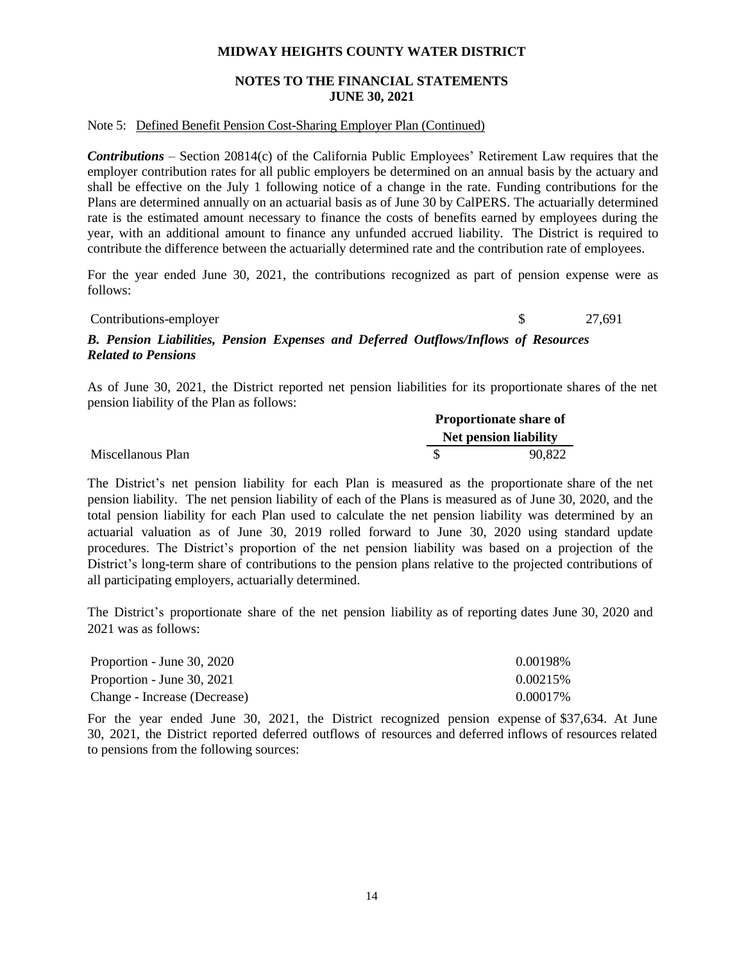# **NOTES TO THE FINANCIAL STATEMENTS JUNE 30, 2021**

#### Note 5: Defined Benefit Pension Cost-Sharing Employer Plan (Continued)

*Contributions* – Section 20814(c) of the California Public Employees' Retirement Law requires that the employer contribution rates for all public employers be determined on an annual basis by the actuary and shall be effective on the July 1 following notice of a change in the rate. Funding contributions for the Plans are determined annually on an actuarial basis as of June 30 by CalPERS. The actuarially determined rate is the estimated amount necessary to finance the costs of benefits earned by employees during the year, with an additional amount to finance any unfunded accrued liability. The District is required to contribute the difference between the actuarially determined rate and the contribution rate of employees.

For the year ended June 30, 2021, the contributions recognized as part of pension expense were as follows:

Contributions-employer \$ 27,691

# *B. Pension Liabilities, Pension Expenses and Deferred Outflows/Inflows of Resources Related to Pensions*

As of June 30, 2021, the District reported net pension liabilities for its proportionate shares of the net pension liability of the Plan as follows:

|                   |  | <b>Proportionate share of</b> |
|-------------------|--|-------------------------------|
|                   |  | <b>Net pension liability</b>  |
| Miscellanous Plan |  | 90.822                        |

The District's net pension liability for each Plan is measured as the proportionate share of the net pension liability. The net pension liability of each of the Plans is measured as of June 30, 2020, and the total pension liability for each Plan used to calculate the net pension liability was determined by an actuarial valuation as of June 30, 2019 rolled forward to June 30, 2020 using standard update procedures. The District's proportion of the net pension liability was based on a projection of the District's long-term share of contributions to the pension plans relative to the projected contributions of all participating employers, actuarially determined.

The District's proportionate share of the net pension liability as of reporting dates June 30, 2020 and 2021 was as follows:

| Proportion - June 30, 2020   | 0.00198%  |
|------------------------------|-----------|
| Proportion - June 30, 2021   | 0.00215\% |
| Change - Increase (Decrease) | 0.00017%  |

For the year ended June 30, 2021, the District recognized pension expense of \$37,634. At June 30, 2021, the District reported deferred outflows of resources and deferred inflows of resources related to pensions from the following sources: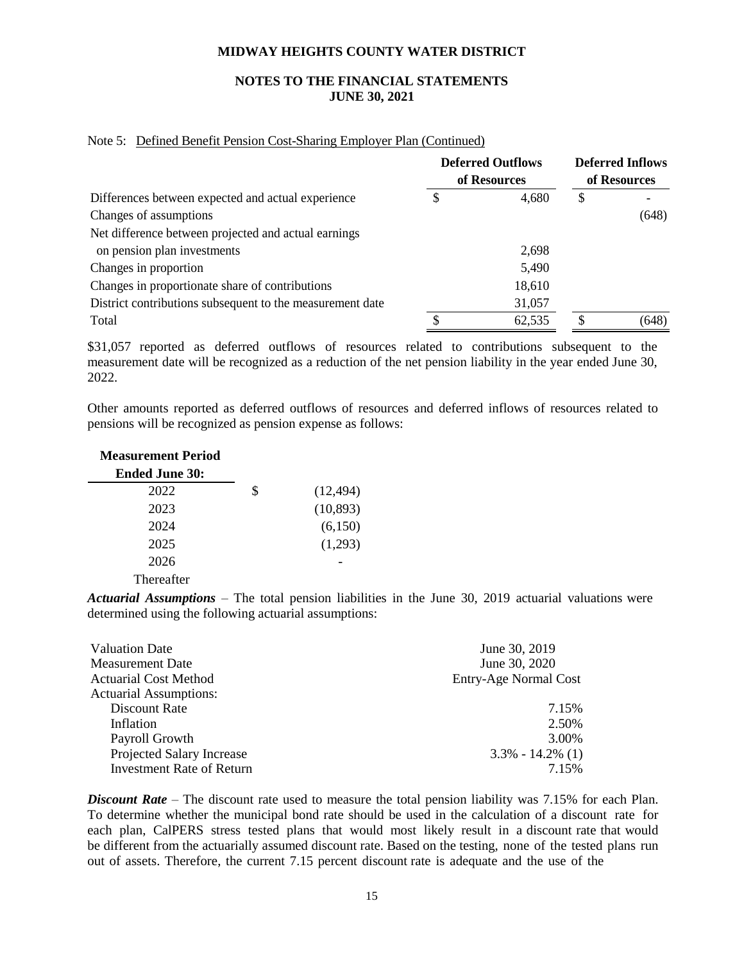# **NOTES TO THE FINANCIAL STATEMENTS JUNE 30, 2021**

#### Note 5: Defined Benefit Pension Cost-Sharing Employer Plan (Continued)

|                                                           |   | <b>Deferred Outflows</b><br>of Resources | <b>Deferred Inflows</b><br>of Resources |       |
|-----------------------------------------------------------|---|------------------------------------------|-----------------------------------------|-------|
| Differences between expected and actual experience        | 2 | 4,680                                    | \$                                      |       |
| Changes of assumptions                                    |   |                                          |                                         | (648) |
| Net difference between projected and actual earnings      |   |                                          |                                         |       |
| on pension plan investments                               |   | 2,698                                    |                                         |       |
| Changes in proportion                                     |   | 5,490                                    |                                         |       |
| Changes in proportionate share of contributions           |   | 18,610                                   |                                         |       |
| District contributions subsequent to the measurement date |   | 31,057                                   |                                         |       |
| Total                                                     |   | 62,535                                   |                                         | (648) |

\$31,057 reported as deferred outflows of resources related to contributions subsequent to the measurement date will be recognized as a reduction of the net pension liability in the year ended June 30, 2022.

Other amounts reported as deferred outflows of resources and deferred inflows of resources related to pensions will be recognized as pension expense as follows:

| <b>Measurement Period</b> |                 |
|---------------------------|-----------------|
| <b>Ended June 30:</b>     |                 |
| 2022                      | \$<br>(12, 494) |
| 2023                      | (10, 893)       |
| 2024                      | (6,150)         |
| 2025                      | (1,293)         |
| 2026                      |                 |
| Thereafter                |                 |

*Actuarial Assumptions* – The total pension liabilities in the June 30, 2019 actuarial valuations were determined using the following actuarial assumptions:

| <b>Valuation Date</b>            | June 30, 2019         |
|----------------------------------|-----------------------|
| <b>Measurement Date</b>          | June 30, 2020         |
| <b>Actuarial Cost Method</b>     | Entry-Age Normal Cost |
| <b>Actuarial Assumptions:</b>    |                       |
| Discount Rate                    | 7.15%                 |
| Inflation                        | 2.50%                 |
| Payroll Growth                   | 3.00%                 |
| Projected Salary Increase        | $3.3\% - 14.2\%$ (1)  |
| <b>Investment Rate of Return</b> | 7.15%                 |

*Discount Rate* – The discount rate used to measure the total pension liability was 7.15% for each Plan. To determine whether the municipal bond rate should be used in the calculation of a discount rate for each plan, CalPERS stress tested plans that would most likely result in a discount rate that would be different from the actuarially assumed discount rate. Based on the testing, none of the tested plans run out of assets. Therefore, the current 7.15 percent discount rate is adequate and the use of the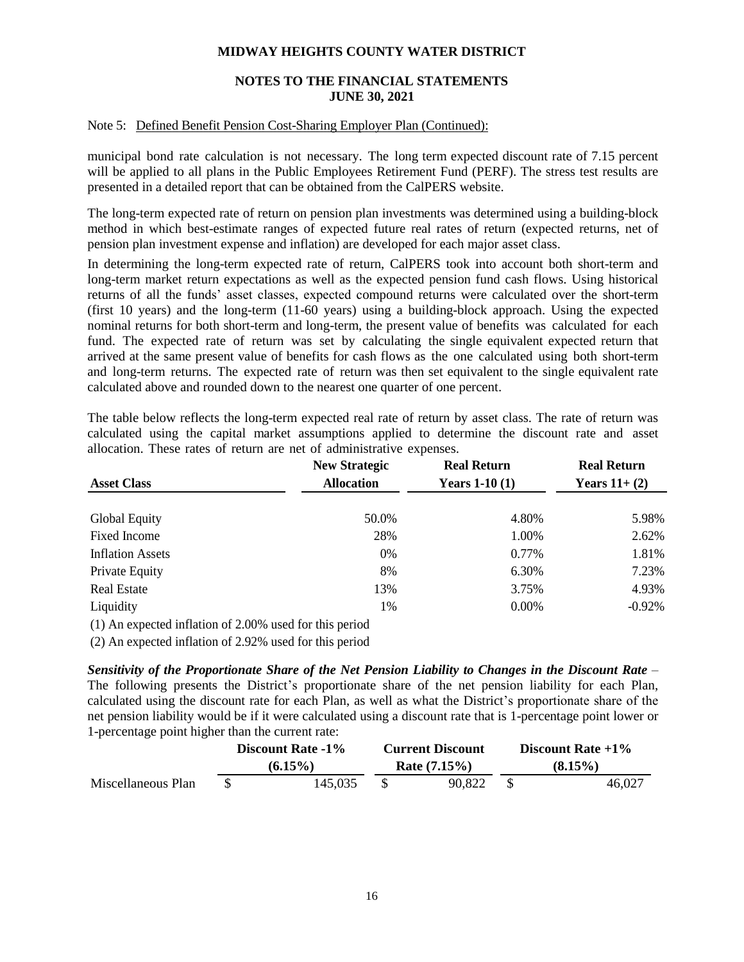# **NOTES TO THE FINANCIAL STATEMENTS JUNE 30, 2021**

#### Note 5: Defined Benefit Pension Cost-Sharing Employer Plan (Continued):

municipal bond rate calculation is not necessary. The long term expected discount rate of 7.15 percent will be applied to all plans in the Public Employees Retirement Fund (PERF). The stress test results are presented in a detailed report that can be obtained from the CalPERS website.

The long-term expected rate of return on pension plan investments was determined using a building-block method in which best-estimate ranges of expected future real rates of return (expected returns, net of pension plan investment expense and inflation) are developed for each major asset class.

In determining the long-term expected rate of return, CalPERS took into account both short-term and long-term market return expectations as well as the expected pension fund cash flows. Using historical returns of all the funds' asset classes, expected compound returns were calculated over the short-term (first 10 years) and the long-term (11-60 years) using a building-block approach. Using the expected nominal returns for both short-term and long-term, the present value of benefits was calculated for each fund. The expected rate of return was set by calculating the single equivalent expected return that arrived at the same present value of benefits for cash flows as the one calculated using both short-term and long-term returns. The expected rate of return was then set equivalent to the single equivalent rate calculated above and rounded down to the nearest one quarter of one percent.

The table below reflects the long-term expected real rate of return by asset class. The rate of return was calculated using the capital market assumptions applied to determine the discount rate and asset allocation. These rates of return are net of administrative expenses.

|                                                         | <b>New Strategic</b> | <b>Real Return</b> | <b>Real Return</b>   |
|---------------------------------------------------------|----------------------|--------------------|----------------------|
| <b>Asset Class</b>                                      | <b>Allocation</b>    | Years $1-10(1)$    | <b>Years 11+ (2)</b> |
|                                                         |                      |                    |                      |
| Global Equity                                           | 50.0%                | 4.80%              | 5.98%                |
| Fixed Income                                            | 28%                  | 1.00%              | 2.62%                |
| <b>Inflation Assets</b>                                 | 0%                   | 0.77%              | 1.81%                |
| Private Equity                                          | 8%                   | 6.30%              | 7.23%                |
| <b>Real Estate</b>                                      | 13%                  | 3.75%              | 4.93%                |
| Liquidity                                               | $1\%$                | $0.00\%$           | $-0.92\%$            |
| (1) An expected inflation of 2.00% used for this period |                      |                    |                      |

(2) An expected inflation of 2.92% used for this period

*Sensitivity of the Proportionate Share of the Net Pension Liability to Changes in the Discount Rate* – The following presents the District's proportionate share of the net pension liability for each Plan, calculated using the discount rate for each Plan, as well as what the District's proportionate share of the net pension liability would be if it were calculated using a discount rate that is 1-percentage point lower or 1-percentage point higher than the current rate:

|                    | Discount Rate -1% |            | <b>Current Discount</b> |                 | Discount Rate $+1\%$ |            |
|--------------------|-------------------|------------|-------------------------|-----------------|----------------------|------------|
|                    |                   | $(6.15\%)$ |                         | Rate $(7.15\%)$ |                      | $(8.15\%)$ |
| Miscellaneous Plan |                   | 145.035    |                         | 90.822          |                      | 46.027     |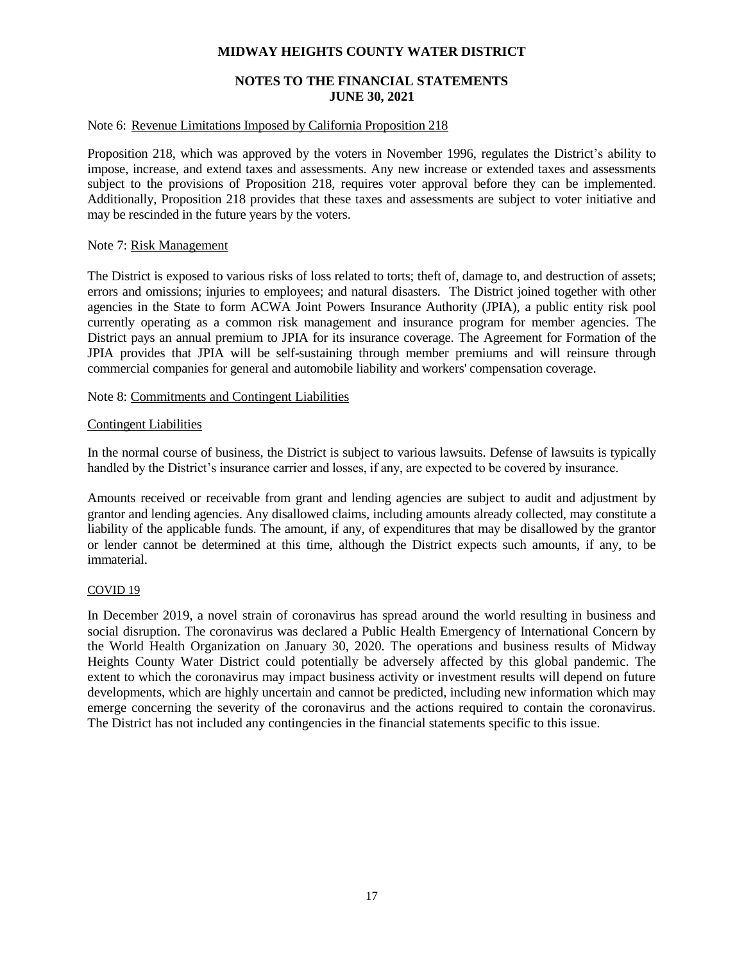# **NOTES TO THE FINANCIAL STATEMENTS JUNE 30, 2021**

#### Note 6: Revenue Limitations Imposed by California Proposition 218

Proposition 218, which was approved by the voters in November 1996, regulates the District's ability to impose, increase, and extend taxes and assessments. Any new increase or extended taxes and assessments subject to the provisions of Proposition 218, requires voter approval before they can be implemented. Additionally, Proposition 218 provides that these taxes and assessments are subject to voter initiative and may be rescinded in the future years by the voters.

#### Note 7: Risk Management

The District is exposed to various risks of loss related to torts; theft of, damage to, and destruction of assets; errors and omissions; injuries to employees; and natural disasters. The District joined together with other agencies in the State to form ACWA Joint Powers Insurance Authority (JPIA), a public entity risk pool currently operating as a common risk management and insurance program for member agencies. The District pays an annual premium to JPIA for its insurance coverage. The Agreement for Formation of the JPIA provides that JPIA will be self-sustaining through member premiums and will reinsure through commercial companies for general and automobile liability and workers' compensation coverage.

#### Note 8: Commitments and Contingent Liabilities

#### Contingent Liabilities

In the normal course of business, the District is subject to various lawsuits. Defense of lawsuits is typically handled by the District's insurance carrier and losses, if any, are expected to be covered by insurance.

Amounts received or receivable from grant and lending agencies are subject to audit and adjustment by grantor and lending agencies. Any disallowed claims, including amounts already collected, may constitute a liability of the applicable funds. The amount, if any, of expenditures that may be disallowed by the grantor or lender cannot be determined at this time, although the District expects such amounts, if any, to be immaterial.

#### COVID 19

In December 2019, a novel strain of coronavirus has spread around the world resulting in business and social disruption. The coronavirus was declared a Public Health Emergency of International Concern by the World Health Organization on January 30, 2020. The operations and business results of Midway Heights County Water District could potentially be adversely affected by this global pandemic. The extent to which the coronavirus may impact business activity or investment results will depend on future developments, which are highly uncertain and cannot be predicted, including new information which may emerge concerning the severity of the coronavirus and the actions required to contain the coronavirus. The District has not included any contingencies in the financial statements specific to this issue.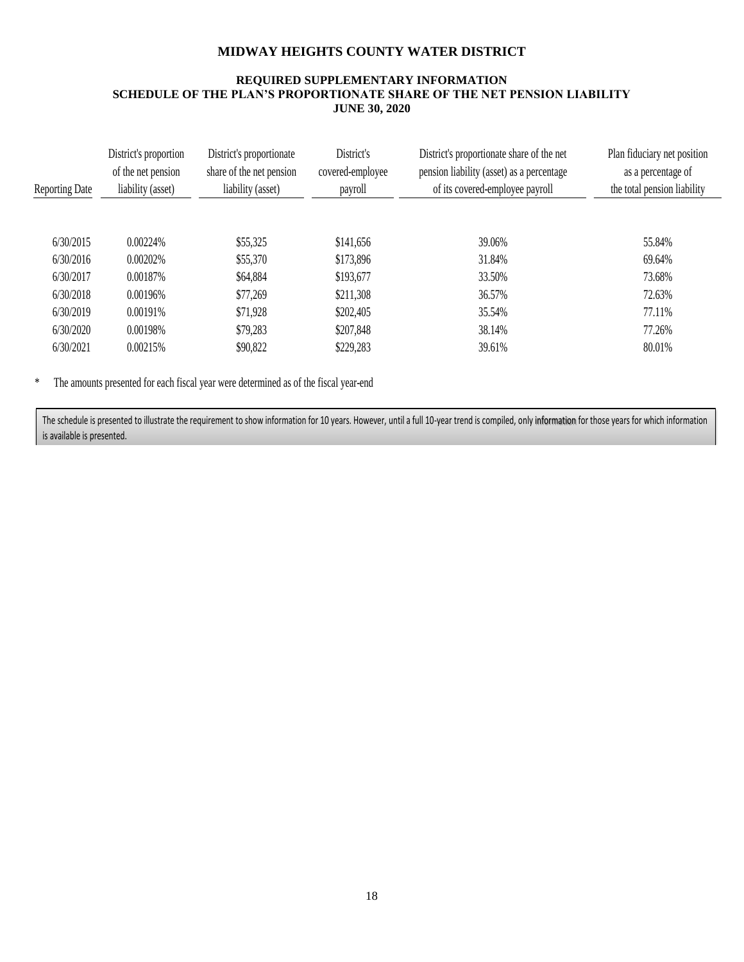# **REQUIRED SUPPLEMENTARY INFORMATION SCHEDULE OF THE PLAN'S PROPORTIONATE SHARE OF THE NET PENSION LIABILITY JUNE 30, 2020**

| <b>Reporting Date</b> | District's proportion<br>of the net pension<br>liability (asset) | District's proportionate<br>share of the net pension<br>liability (asset) | District's<br>covered-employee<br>payroll | District's proportionate share of the net<br>pension liability (asset) as a percentage<br>of its covered-employee payroll | Plan fiduciary net position<br>as a percentage of<br>the total pension liability |
|-----------------------|------------------------------------------------------------------|---------------------------------------------------------------------------|-------------------------------------------|---------------------------------------------------------------------------------------------------------------------------|----------------------------------------------------------------------------------|
|                       |                                                                  |                                                                           |                                           |                                                                                                                           |                                                                                  |
| 6/30/2015             | 0.00224%                                                         | \$55,325                                                                  | \$141,656                                 | 39.06%                                                                                                                    | 55.84%                                                                           |
| 6/30/2016             | 0.00202%                                                         | \$55,370                                                                  | \$173,896                                 | 31.84%                                                                                                                    | 69.64%                                                                           |
| 6/30/2017             | 0.00187%                                                         | \$64,884                                                                  | \$193,677                                 | 33.50%                                                                                                                    | 73.68%                                                                           |
| 6/30/2018             | 0.00196%                                                         | \$77,269                                                                  | \$211,308                                 | 36.57%                                                                                                                    | 72.63%                                                                           |
| 6/30/2019             | 0.00191%                                                         | \$71,928                                                                  | \$202,405                                 | 35.54%                                                                                                                    | 77.11%                                                                           |
| 6/30/2020             | 0.00198%                                                         | \$79,283                                                                  | \$207,848                                 | 38.14%                                                                                                                    | 77.26%                                                                           |
| 6/30/2021             | 0.00215\%                                                        | \$90,822                                                                  | \$229,283                                 | 39.61%                                                                                                                    | 80.01%                                                                           |

\* The amounts presented for each fiscal year were determined as of the fiscal year-end

The schedule is presented to illustrate the requirement to show information for 10 years. However, until a full 10-year trend is compiled, only information for those years for which information is available is presented.